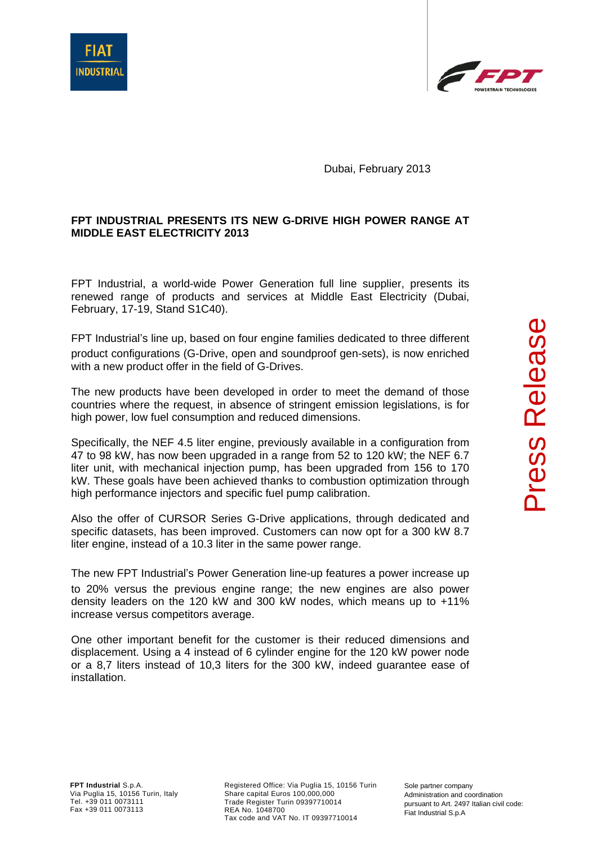



Dubai, February 2013

## **FPT INDUSTRIAL PRESENTS ITS NEW G-DRIVE HIGH POWER RANGE AT MIDDLE EAST ELECTRICITY 2013**

FPT Industrial, a world-wide Power Generation full line supplier, presents its renewed range of products and services at Middle East Electricity (Dubai, February, 17-19, Stand S1C40).

FPT Industrial's line up, based on four engine families dedicated to three different product configurations (G-Drive, open and soundproof gen-sets), is now enriched with a new product offer in the field of G-Drives.

The new products have been developed in order to meet the demand of those countries where the request, in absence of stringent emission legislations, is for high power, low fuel consumption and reduced dimensions.

Specifically, the NEF 4.5 liter engine, previously available in a configuration from 47 to 98 kW, has now been upgraded in a range from 52 to 120 kW; the NEF 6.7 liter unit, with mechanical injection pump, has been upgraded from 156 to 170 kW. These goals have been achieved thanks to combustion optimization through high performance injectors and specific fuel pump calibration.

Also the offer of CURSOR Series G-Drive applications, through dedicated and specific datasets, has been improved. Customers can now opt for a 300 kW 8.7 liter engine, instead of a 10.3 liter in the same power range.

The new FPT Industrial's Power Generation line-up features a power increase up to 20% versus the previous engine range; the new engines are also power density leaders on the 120 kW and 300 kW nodes, which means up to +11% increase versus competitors average.

One other important benefit for the customer is their reduced dimensions and displacement. Using a 4 instead of 6 cylinder engine for the 120 kW power node or a 8,7 liters instead of 10,3 liters for the 300 kW, indeed guarantee ease of installation.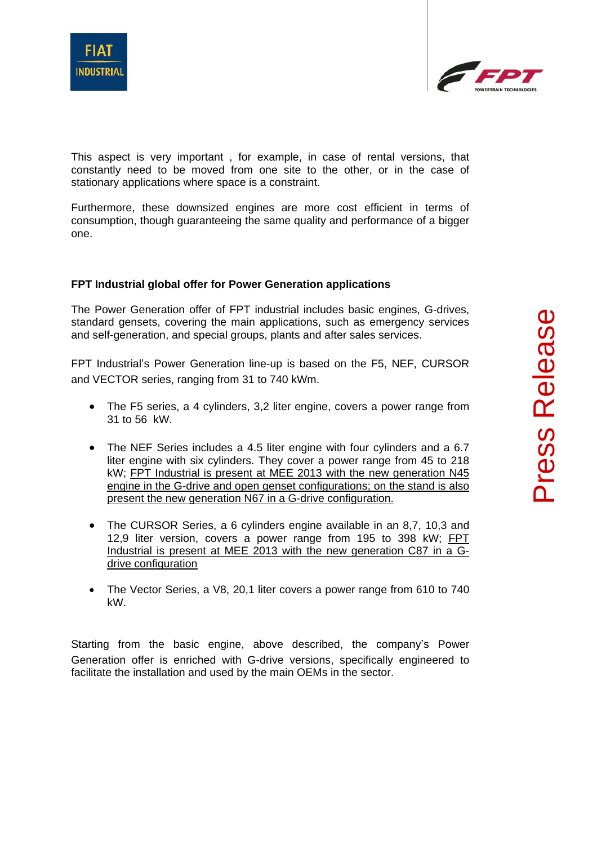



This aspect is very important , for example, in case of rental versions, that constantly need to be moved from one site to the other, or in the case of stationary applications where space is a constraint.

Furthermore, these downsized engines are more cost efficient in terms of consumption, though guaranteeing the same quality and performance of a bigger one.

## **FPT Industrial global offer for Power Generation applications**

The Power Generation offer of FPT industrial includes basic engines, G-drives, standard gensets, covering the main applications, such as emergency services and self-generation, and special groups, plants and after sales services.

FPT Industrial's Power Generation line-up is based on the F5, NEF, CURSOR and VECTOR series, ranging from 31 to 740 kWm.

- The F5 series, a 4 cylinders, 3,2 liter engine, covers a power range from 31 to 56 kW.
- The NEF Series includes a 4.5 liter engine with four cylinders and a 6.7 liter engine with six cylinders. They cover a power range from 45 to 218 kW; FPT Industrial is present at MEE 2013 with the new generation N45 engine in the G-drive and open genset configurations; on the stand is also present the new generation N67 in a G-drive configuration.
- The CURSOR Series, a 6 cylinders engine available in an 8,7, 10,3 and 12,9 liter version, covers a power range from 195 to 398 kW; FPT Industrial is present at MEE 2013 with the new generation C87 in a Gdrive configuration
- The Vector Series, a V8, 20,1 liter covers a power range from 610 to 740 kW.

Starting from the basic engine, above described, the company's Power Generation offer is enriched with G-drive versions, specifically engineered to facilitate the installation and used by the main OEMs in the sector.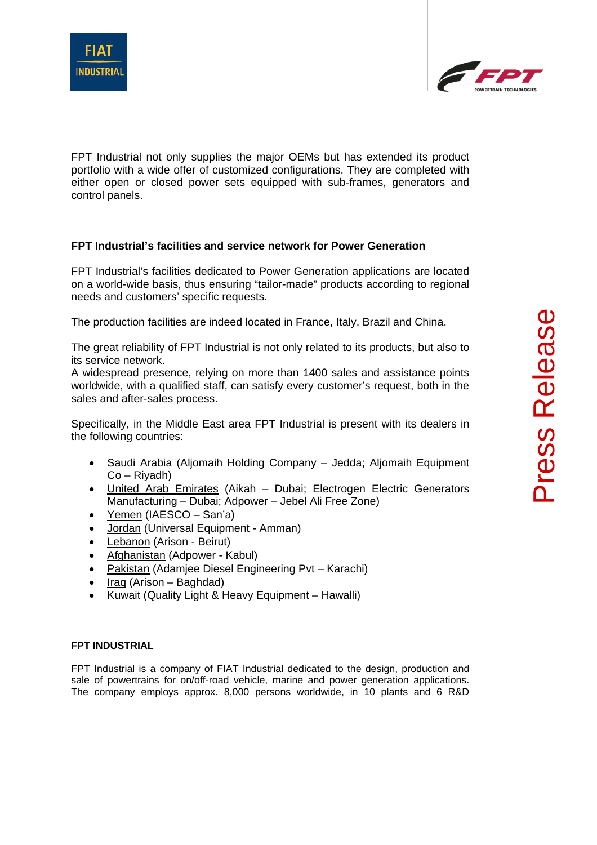



FPT Industrial not only supplies the major OEMs but has extended its product portfolio with a wide offer of customized configurations. They are completed with either open or closed power sets equipped with sub-frames, generators and control panels.

## **FPT Industrial's facilities and service network for Power Generation**

FPT Industrial's facilities dedicated to Power Generation applications are located on a world-wide basis, thus ensuring "tailor-made" products according to regional needs and customers' specific requests.

The production facilities are indeed located in France, Italy, Brazil and China.

The great reliability of FPT Industrial is not only related to its products, but also to its service network.

A widespread presence, relying on more than 1400 sales and assistance points worldwide, with a qualified staff, can satisfy every customer's request, both in the sales and after-sales process.

Specifically, in the Middle East area FPT Industrial is present with its dealers in the following countries:

- Saudi Arabia (Aljomaih Holding Company Jedda; Aljomaih Equipment Co – Riyadh)
- United Arab Emirates (Aikah Dubai; Electrogen Electric Generators Manufacturing – Dubai; Adpower – Jebel Ali Free Zone)
- Yemen (IAESCO San'a)
- Jordan (Universal Equipment Amman)
- Lebanon (Arison Beirut)
- Afghanistan (Adpower Kabul)
- Pakistan (Adamjee Diesel Engineering Pvt Karachi)
- $\bullet$  Iraq (Arison Baghdad)
- Kuwait (Quality Light & Heavy Equipment Hawalli)

## **FPT INDUSTRIAL**

FPT Industrial is a company of FIAT Industrial dedicated to the design, production and sale of powertrains for on/off-road vehicle, marine and power generation applications. The company employs approx. 8,000 persons worldwide, in 10 plants and 6 R&D